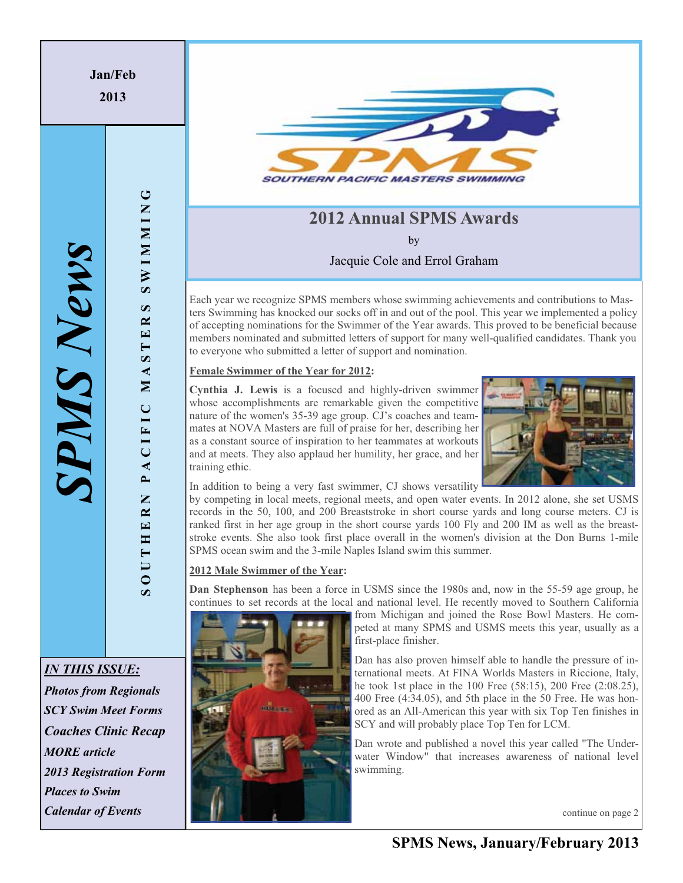**Jan/Feb 2013**

**SOUTHERN PACIFIC MASTERS SWIMMING**

PACIFIC

UTHERN

 $\overline{\bullet}$ 

MAST

 $\cup$ 

**NIMMINS** 

 $\boldsymbol{\varpi}$  $E$  R **SOUTHERN PACIFIC MASTERS SWIMMING** 

# **2012 Annual SPMS Awards**

by

Jacquie Cole and Errol Graham

Each year we recognize SPMS members whose swimming achievements and contributions to Masters Swimming has knocked our socks off in and out of the pool. This year we implemented a policy of accepting nominations for the Swimmer of the Year awards. This proved to be beneficial because members nominated and submitted letters of support for many well-qualified candidates. Thank you to everyone who submitted a letter of support and nomination.

### **Female Swimmer of the Year for 2012:**

**Cynthia J. Lewis** is a focused and highly-driven swimmer whose accomplishments are remarkable given the competitive nature of the women's 35-39 age group. CJ's coaches and teammates at NOVA Masters are full of praise for her, describing her as a constant source of inspiration to her teammates at workouts and at meets. They also applaud her humility, her grace, and her training ethic.



In addition to being a very fast swimmer, CJ shows versatility

by competing in local meets, regional meets, and open water events. In 2012 alone, she set USMS records in the 50, 100, and 200 Breaststroke in short course yards and long course meters. CJ is ranked first in her age group in the short course yards 100 Fly and 200 IM as well as the breaststroke events. She also took first place overall in the women's division at the Don Burns 1-mile SPMS ocean swim and the 3-mile Naples Island swim this summer.

### **2012 Male Swimmer of the Year:**

**Dan Stephenson** has been a force in USMS since the 1980s and, now in the 55-59 age group, he continues to set records at the local and national level. He recently moved to Southern California

alia es

from Michigan and joined the Rose Bowl Masters. He competed at many SPMS and USMS meets this year, usually as a first-place finisher.

Dan has also proven himself able to handle the pressure of international meets. At FINA Worlds Masters in Riccione, Italy, he took 1st place in the 100 Free (58:15), 200 Free (2:08.25), 400 Free (4:34.05), and 5th place in the 50 Free. He was honored as an All-American this year with six Top Ten finishes in SCY and will probably place Top Ten for LCM.

Dan wrote and published a novel this year called "The Underwater Window" that increases awareness of national level swimming.

continue on page 2

*IN THIS ISSUE: Photos from Regionals SCY Swim Meet Forms Coaches Clinic Recap MORE article* 

*2013 Registration Form* 

*Places to Swim* 

*Calendar of Events*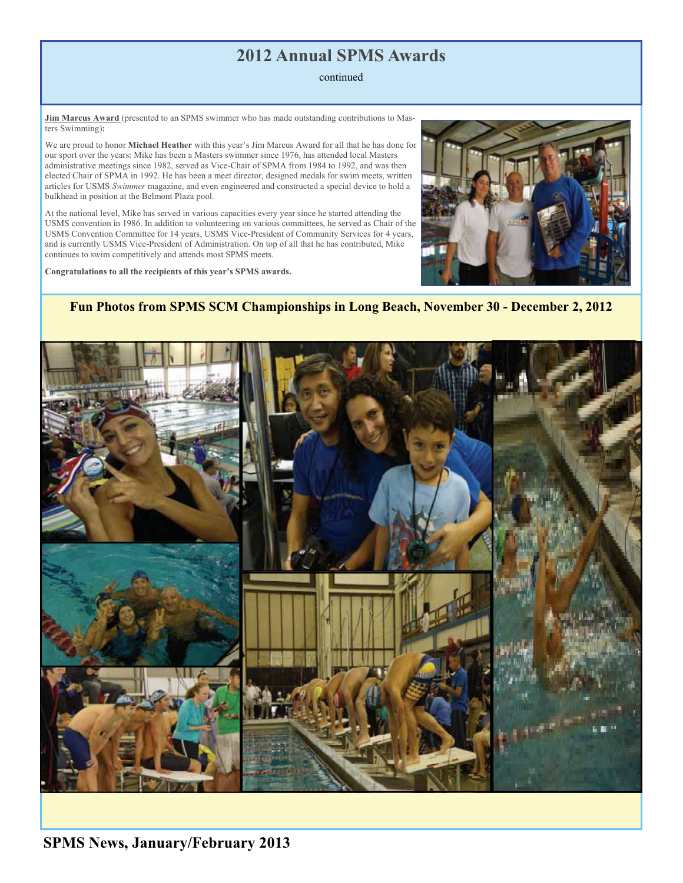# **2012 Annual SPMS Awards**

### continued

**Jim Marcus Award** (presented to an SPMS swimmer who has made outstanding contributions to Masters Swimming)**:**

We are proud to honor **Michael Heather** with this year's Jim Marcus Award for all that he has done for our sport over the years: Mike has been a Masters swimmer since 1976, has attended local Masters administrative meetings since 1982, served as Vice-Chair of SPMA from 1984 to 1992, and was then elected Chair of SPMA in 1992. He has been a meet director, designed medals for swim meets, written articles for USMS *Swimmer* magazine, and even engineered and constructed a special device to hold a bulkhead in position at the Belmont Plaza pool.

At the national level, Mike has served in various capacities every year since he started attending the USMS convention in 1986. In addition to volunteering on various committees, he served as Chair of the USMS Convention Committee for 14 years, USMS Vice-President of Community Services for 4 years, and is currently USMS Vice-President of Administration. On top of all that he has contributed, Mike continues to swim competitively and attends most SPMS meets.

**Congratulations to all the recipients of this year's SPMS awards.**



### **Fun Photos from SPMS SCM Championships in Long Beach, November 30 - December 2, 2012**

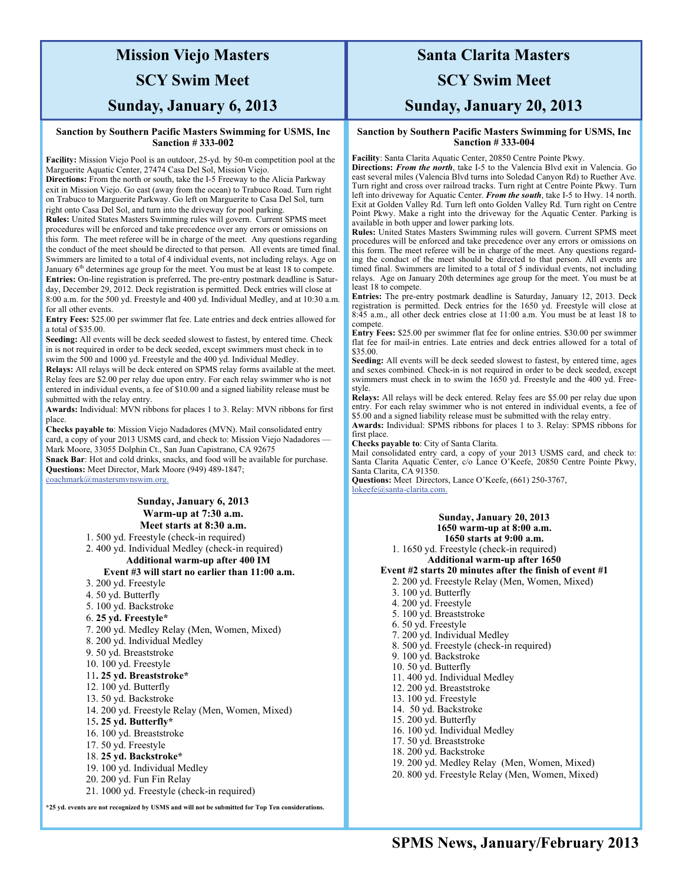# **Mission Viejo Masters**

## **SCY Swim Meet**

### **Sunday, January 6, 2013**

#### **Sanction by Southern Pacific Masters Swimming for USMS, Inc Sanction # 333-002**

**Facility:** Mission Viejo Pool is an outdoor, 25-yd. by 50-m competition pool at the Marguerite Aquatic Center, 27474 Casa Del Sol, Mission Viejo.

**Directions:** From the north or south, take the I-5 Freeway to the Alicia Parkway exit in Mission Viejo. Go east (away from the ocean) to Trabuco Road. Turn right on Trabuco to Marguerite Parkway. Go left on Marguerite to Casa Del Sol, turn right onto Casa Del Sol, and turn into the driveway for pool parking.

**Rules:** United States Masters Swimming rules will govern. Current SPMS meet procedures will be enforced and take precedence over any errors or omissions on this form. The meet referee will be in charge of the meet. Any questions regarding the conduct of the meet should be directed to that person. All events are timed final. Swimmers are limited to a total of 4 individual events, not including relays. Age on January 6<sup>th</sup> determines age group for the meet. You must be at least 18 to compete. **Entries:** On-line registration is preferred**.** The pre-entry postmark deadline is Saturday, December 29, 2012. Deck registration is permitted. Deck entries will close at 8:00 a.m. for the 500 yd. Freestyle and 400 yd. Individual Medley, and at 10:30 a.m. for all other events.

**Entry Fees:** \$25.00 per swimmer flat fee. Late entries and deck entries allowed for a total of \$35.00.

**Seeding:** All events will be deck seeded slowest to fastest, by entered time. Check in is not required in order to be deck seeded, except swimmers must check in to swim the 500 and 1000 yd. Freestyle and the 400 yd. Individual Medley.

**Relays:** All relays will be deck entered on SPMS relay forms available at the meet. Relay fees are \$2.00 per relay due upon entry. For each relay swimmer who is not entered in individual events, a fee of \$10.00 and a signed liability release must be submitted with the relay entry.

**Awards:** Individual: MVN ribbons for places 1 to 3. Relay: MVN ribbons for first place.

**Checks payable to**: Mission Viejo Nadadores (MVN). Mail consolidated entry card, a copy of your 2013 USMS card, and check to: Mission Viejo Nadadores -Mark Moore, 33055 Dolphin Ct., San Juan Capistrano, CA 92675 **Snack Bar**: Hot and cold drinks, snacks, and food will be available for purchase. **Questions:** Meet Director, Mark Moore (949) 489-1847;

coachmark@mastersmvnswim.org.

### **Sunday, January 6, 2013 Warm-up at 7:30 a.m. Meet starts at 8:30 a.m.**

1. 500 yd. Freestyle (check-in required)

2. 400 yd. Individual Medley (check-in required)

**Additional warm-up after 400 IM** 

#### **Event #3 will start no earlier than 11:00 a.m.**

- 3. 200 yd. Freestyle
- 4. 50 yd. Butterfly
- 5. 100 yd. Backstroke
- 6. **25 yd. Freestyle\***
- 7. 200 yd. Medley Relay (Men, Women, Mixed)
- 8. 200 yd. Individual Medley
- 9. 50 yd. Breaststroke
- 10. 100 yd. Freestyle

#### 11**. 25 yd. Breaststroke\***

- 12. 100 yd. Butterfly
- 13. 50 yd. Backstroke
- 14. 200 yd. Freestyle Relay (Men, Women, Mixed)
- 15**. 25 yd. Butterfly\***
- 16. 100 yd. Breaststroke
- 17. 50 yd. Freestyle
- 18. **25 yd. Backstroke\***
- 19. 100 yd. Individual Medley
- 20. 200 yd. Fun Fin Relay
- 21. 1000 yd. Freestyle (check-in required)

**\*25 yd. events are not recognized by USMS and will not be submitted for Top Ten considerations.** 

## **Santa Clarita Masters**

### **SCY Swim Meet**

### **Sunday, January 20, 2013**

#### **Sanction by Southern Pacific Masters Swimming for USMS, Inc Sanction # 333-004**

**Facility**: Santa Clarita Aquatic Center, 20850 Centre Pointe Pkwy.

**Directions:** *From the north*, take I-5 to the Valencia Blvd exit in Valencia. Go east several miles (Valencia Blvd turns into Soledad Canyon Rd) to Ruether Ave. Turn right and cross over railroad tracks. Turn right at Centre Pointe Pkwy. Turn left into driveway for Aquatic Center. *From the south*, take I-5 to Hwy. 14 north. Exit at Golden Valley Rd. Turn left onto Golden Valley Rd. Turn right on Centre Point Pkwy. Make a right into the driveway for the Aquatic Center. Parking is available in both upper and lower parking lots.

**Rules:** United States Masters Swimming rules will govern. Current SPMS meet procedures will be enforced and take precedence over any errors or omissions on this form. The meet referee will be in charge of the meet. Any questions regarding the conduct of the meet should be directed to that person. All events are timed final. Swimmers are limited to a total of 5 individual events, not including relays. Age on January 20th determines age group for the meet. You must be at least 18 to compete.

**Entries:** The pre-entry postmark deadline is Saturday, January 12, 2013. Deck registration is permitted. Deck entries for the 1650 yd. Freestyle will close at 8:45 a.m., all other deck entries close at 11:00 a.m. You must be at least 18 to compete.

**Entry Fees:** \$25.00 per swimmer flat fee for online entries. \$30.00 per swimmer flat fee for mail-in entries. Late entries and deck entries allowed for a total of \$35.00.

**Seeding:** All events will be deck seeded slowest to fastest, by entered time, ages and sexes combined. Check-in is not required in order to be deck seeded, except swimmers must check in to swim the 1650 yd. Freestyle and the 400 yd. Freestyle.

**Relays:** All relays will be deck entered. Relay fees are \$5.00 per relay due upon entry. For each relay swimmer who is not entered in individual events, a fee of \$5.00 and a signed liability release must be submitted with the relay entry.

**Awards:** Individual: SPMS ribbons for places 1 to 3. Relay: SPMS ribbons for first place.

**Checks payable to**: City of Santa Clarita.

Mail consolidated entry card, a copy of your 2013 USMS card, and check to: Santa Clarita Aquatic Center, c/o Lance O'Keefe, 20850 Centre Pointe Pkwy, Santa Clarita, CA 91350.

**Questions:** Meet Directors, Lance O'Keefe, (661) 250-3767, lokeefe@santa-clarita.com.

#### **Sunday, January 20, 2013 1650 warm-up at 8:00 a.m. 1650 starts at 9:00 a.m.**

1. 1650 yd. Freestyle (check-in required) **Additional warm-up after 1650 Event #2 starts 20 minutes after the finish of event #1**  2. 200 yd. Freestyle Relay (Men, Women, Mixed) 3. 100 yd. Butterfly

- 4. 200 yd. Freestyle
- 5. 100 yd. Breaststroke
- 6. 50 yd. Freestyle
- 7. 200 yd. Individual Medley
- 8. 500 yd. Freestyle (check-in required)
- 9. 100 yd. Backstroke
- 10. 50 yd. Butterfly
- 11. 400 yd. Individual Medley
- 12. 200 yd. Breaststroke
- 13. 100 yd. Freestyle
- 14. 50 yd. Backstroke
- 15. 200 yd. Butterfly
- 16. 100 yd. Individual Medley
- 17. 50 yd. Breaststroke
- 18. 200 yd. Backstroke
- 19. 200 yd. Medley Relay (Men, Women, Mixed)
- 20. 800 yd. Freestyle Relay (Men, Women, Mixed)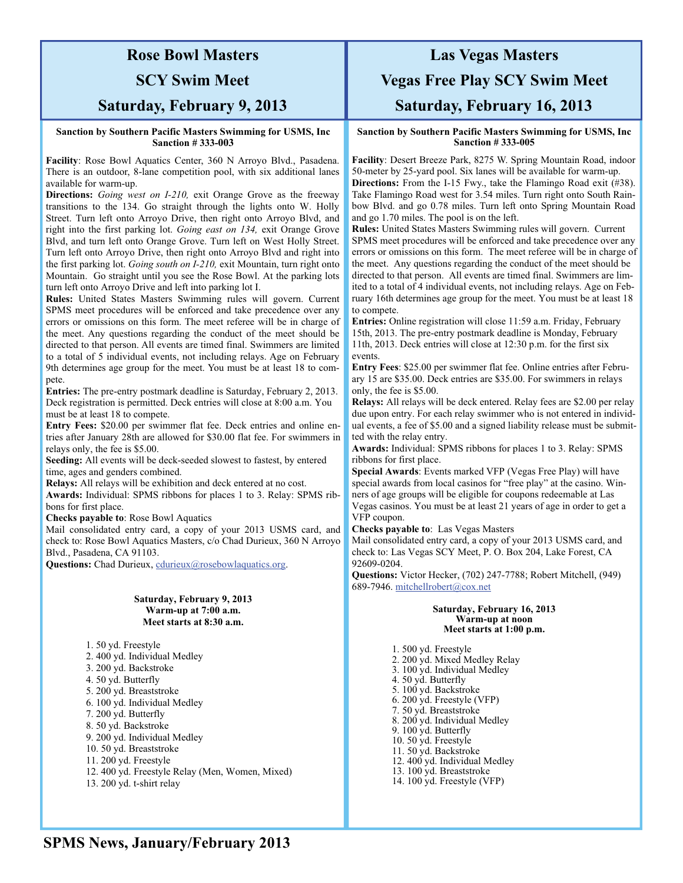## **Rose Bowl Masters**

## **SCY Swim Meet**

## **Saturday, February 9, 2013**

#### **Sanction by Southern Pacific Masters Swimming for USMS, Inc Sanction # 333-003**

**Facility**: Rose Bowl Aquatics Center, 360 N Arroyo Blvd., Pasadena. There is an outdoor, 8-lane competition pool, with six additional lanes available for warm-up.

**Directions:** *Going west on I-210,* exit Orange Grove as the freeway transitions to the 134. Go straight through the lights onto W. Holly Street. Turn left onto Arroyo Drive, then right onto Arroyo Blvd, and right into the first parking lot. *Going east on 134,* exit Orange Grove Blvd, and turn left onto Orange Grove. Turn left on West Holly Street. Turn left onto Arroyo Drive, then right onto Arroyo Blvd and right into the first parking lot. *Going south on I-210,* exit Mountain, turn right onto Mountain. Go straight until you see the Rose Bowl. At the parking lots turn left onto Arroyo Drive and left into parking lot I.

**Rules:** United States Masters Swimming rules will govern. Current SPMS meet procedures will be enforced and take precedence over any errors or omissions on this form. The meet referee will be in charge of the meet. Any questions regarding the conduct of the meet should be directed to that person. All events are timed final. Swimmers are limited to a total of 5 individual events, not including relays. Age on February 9th determines age group for the meet. You must be at least 18 to compete.

**Entries:** The pre-entry postmark deadline is Saturday, February 2, 2013. Deck registration is permitted. Deck entries will close at 8:00 a.m. You must be at least 18 to compete.

**Entry Fees:** \$20.00 per swimmer flat fee. Deck entries and online entries after January 28th are allowed for \$30.00 flat fee. For swimmers in relays only, the fee is \$5.00.

**Seeding:** All events will be deck-seeded slowest to fastest, by entered time, ages and genders combined.

**Relays:** All relays will be exhibition and deck entered at no cost.

**Awards:** Individual: SPMS ribbons for places 1 to 3. Relay: SPMS ribbons for first place.

**Checks payable to**: Rose Bowl Aquatics

Mail consolidated entry card, a copy of your 2013 USMS card, and check to: Rose Bowl Aquatics Masters, c/o Chad Durieux, 360 N Arroyo Blvd., Pasadena, CA 91103.

**Questions:** Chad Durieux, cdurieux@rosebowlaquatics.org.

#### **Saturday, February 9, 2013 Warm-up at 7:00 a.m. Meet starts at 8:30 a.m.**

1. 50 yd. Freestyle

2. 400 yd. Individual Medley

- 3. 200 yd. Backstroke
- 4. 50 yd. Butterfly
- 5. 200 yd. Breaststroke
- 6. 100 yd. Individual Medley
- 7. 200 yd. Butterfly
- 8. 50 yd. Backstroke
- 9. 200 yd. Individual Medley
- 10. 50 yd. Breaststroke
- 11. 200 yd. Freestyle
- 12. 400 yd. Freestyle Relay (Men, Women, Mixed)
- 13. 200 yd. t-shirt relay

# **Las Vegas Masters Vegas Free Play SCY Swim Meet Saturday, February 16, 2013**

#### **Sanction by Southern Pacific Masters Swimming for USMS, Inc Sanction # 333-005**

**Facility**: Desert Breeze Park, 8275 W. Spring Mountain Road, indoor 50-meter by 25-yard pool. Six lanes will be available for warm-up. **Directions:** From the I-15 Fwy., take the Flamingo Road exit (#38). Take Flamingo Road west for 3.54 miles. Turn right onto South Rainbow Blvd. and go 0.78 miles. Turn left onto Spring Mountain Road and go 1.70 miles. The pool is on the left.

**Rules:** United States Masters Swimming rules will govern. Current SPMS meet procedures will be enforced and take precedence over any errors or omissions on this form. The meet referee will be in charge of the meet. Any questions regarding the conduct of the meet should be directed to that person. All events are timed final. Swimmers are limited to a total of 4 individual events, not including relays. Age on February 16th determines age group for the meet. You must be at least 18 to compete.

**Entries:** Online registration will close 11:59 a.m. Friday, February 15th, 2013. The pre-entry postmark deadline is Monday, February 11th, 2013. Deck entries will close at 12:30 p.m. for the first six events.

**Entry Fees**: \$25.00 per swimmer flat fee. Online entries after February 15 are \$35.00. Deck entries are \$35.00. For swimmers in relays only, the fee is \$5.00.

**Relays:** All relays will be deck entered. Relay fees are \$2.00 per relay due upon entry. For each relay swimmer who is not entered in individual events, a fee of \$5.00 and a signed liability release must be submitted with the relay entry.

**Awards:** Individual: SPMS ribbons for places 1 to 3. Relay: SPMS ribbons for first place.

**Special Awards**: Events marked VFP (Vegas Free Play) will have special awards from local casinos for "free play" at the casino. Winners of age groups will be eligible for coupons redeemable at Las Vegas casinos. You must be at least 21 years of age in order to get a VFP coupon.

**Checks payable to**: Las Vegas Masters

Mail consolidated entry card, a copy of your 2013 USMS card, and check to: Las Vegas SCY Meet, P. O. Box 204, Lake Forest, CA 92609-0204.

**Questions:** Victor Hecker, (702) 247-7788; Robert Mitchell, (949) 689-7946. mitchellrobert@cox.net

#### **Saturday, February 16, 2013 Warm-up at noon Meet starts at 1:00 p.m.**

1. 500 yd. Freestyle 2. 200 yd. Mixed Medley Relay 3. 100 yd. Individual Medley 4. 50 yd. Butterfly 5. 100 yd. Backstroke 6. 200 yd. Freestyle (VFP) 7. 50 yd. Breaststroke 8. 200 yd. Individual Medley 9. 100 yd. Butterfly 10. 50 yd. Freestyle 11. 50 yd. Backstroke 12. 400 yd. Individual Medley 13. 100 yd. Breaststroke 14. 100 yd. Freestyle (VFP)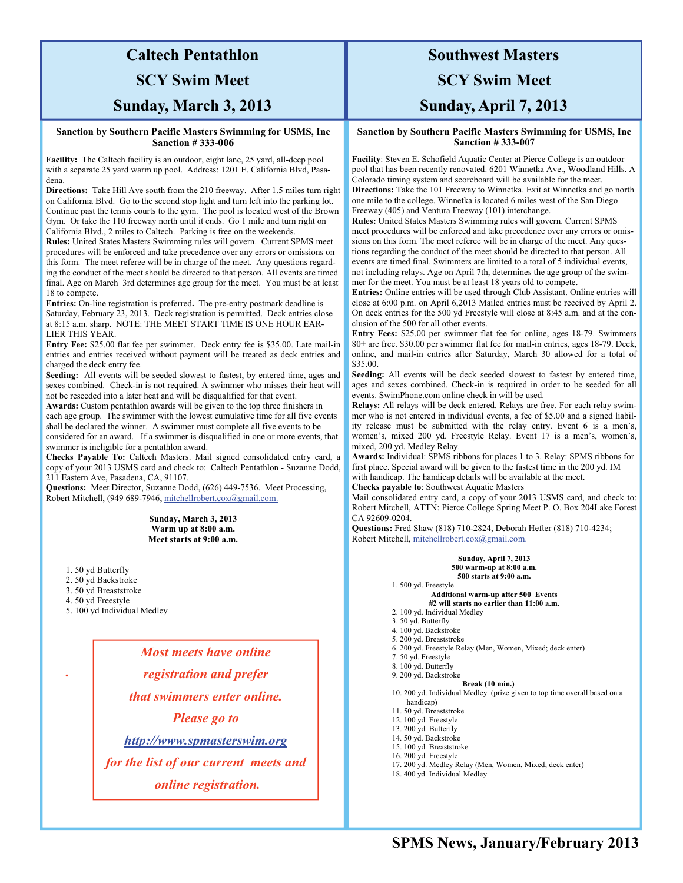# **Caltech Pentathlon**

## **SCY Swim Meet**

### **Sunday, March 3, 2013**

#### **Sanction by Southern Pacific Masters Swimming for USMS, Inc Sanction # 333-006**

**Facility:** The Caltech facility is an outdoor, eight lane, 25 yard, all-deep pool with a separate 25 yard warm up pool. Address: 1201 E. California Blvd, Pasadena.

**Directions:** Take Hill Ave south from the 210 freeway. After 1.5 miles turn right on California Blvd. Go to the second stop light and turn left into the parking lot. Continue past the tennis courts to the gym. The pool is located west of the Brown Gym. Or take the 110 freeway north until it ends. Go 1 mile and turn right on California Blvd., 2 miles to Caltech. Parking is free on the weekends.

**Rules:** United States Masters Swimming rules will govern. Current SPMS meet procedures will be enforced and take precedence over any errors or omissions on this form. The meet referee will be in charge of the meet. Any questions regarding the conduct of the meet should be directed to that person. All events are timed final. Age on March 3rd determines age group for the meet. You must be at least 18 to compete.

**Entries:** On-line registration is preferred**.** The pre-entry postmark deadline is Saturday, February 23, 2013. Deck registration is permitted. Deck entries close at 8:15 a.m. sharp. NOTE: THE MEET START TIME IS ONE HOUR EAR-LIER THIS YEAR.

**Entry Fee:** \$25.00 flat fee per swimmer. Deck entry fee is \$35.00. Late mail-in entries and entries received without payment will be treated as deck entries and charged the deck entry fee.

**Seeding:** All events will be seeded slowest to fastest, by entered time, ages and sexes combined. Check-in is not required. A swimmer who misses their heat will not be reseeded into a later heat and will be disqualified for that event.

**Awards:** Custom pentathlon awards will be given to the top three finishers in each age group. The swimmer with the lowest cumulative time for all five events shall be declared the winner. A swimmer must complete all five events to be

considered for an award. If a swimmer is disqualified in one or more events, that swimmer is ineligible for a pentathlon award.

**Checks Payable To:** Caltech Masters. Mail signed consolidated entry card, a copy of your 2013 USMS card and check to: Caltech Pentathlon - Suzanne Dodd, 211 Eastern Ave, Pasadena, CA, 91107.

**Questions:** Meet Director, Suzanne Dodd, (626) 449-7536. Meet Processing, Robert Mitchell, (949 689-7946, mitchellrobert.cox@gmail.com.

> **Sunday, March 3, 2013 Warm up at 8:00 a.m. Meet starts at 9:00 a.m.**

- 1. 50 yd Butterfly
- 2. 50 yd Backstroke
- 3. 50 yd Breaststroke
- 4. 50 yd Freestyle

*.*

5. 100 yd Individual Medley

*Most meets have online registration and prefer that swimmers enter online. Please go to http://www.spmasterswim.org for the list of our current meets and online registration.* 

## **Southwest Masters**

### **SCY Swim Meet**

### **Sunday, April 7, 2013**

#### **Sanction by Southern Pacific Masters Swimming for USMS, Inc Sanction # 333-007**

**Facility**: Steven E. Schofield Aquatic Center at Pierce College is an outdoor pool that has been recently renovated. 6201 Winnetka Ave., Woodland Hills. A Colorado timing system and scoreboard will be available for the meet. **Directions:** Take the 101 Freeway to Winnetka. Exit at Winnetka and go north one mile to the college. Winnetka is located 6 miles west of the San Diego

Freeway (405) and Ventura Freeway (101) interchange. **Rules:** United States Masters Swimming rules will govern. Current SPMS meet procedures will be enforced and take precedence over any errors or omissions on this form. The meet referee will be in charge of the meet. Any questions regarding the conduct of the meet should be directed to that person. All events are timed final. Swimmers are limited to a total of 5 individual events, not including relays. Age on April 7th, determines the age group of the swimmer for the meet. You must be at least 18 years old to compete.

**Entries:** Online entries will be used through Club Assistant. Online entries will close at 6:00 p.m. on April 6,2013 Mailed entries must be received by April 2. On deck entries for the 500 yd Freestyle will close at 8:45 a.m. and at the conclusion of the 500 for all other events.

**Entry Fees:** \$25.00 per swimmer flat fee for online, ages 18-79. Swimmers 80+ are free. \$30.00 per swimmer flat fee for mail-in entries, ages 18-79. Deck, online, and mail-in entries after Saturday, March 30 allowed for a total of \$35.00.

**Seeding:** All events will be deck seeded slowest to fastest by entered time, ages and sexes combined. Check-in is required in order to be seeded for all events. SwimPhone.com online check in will be used.

**Relays:** All relays will be deck entered. Relays are free. For each relay swimmer who is not entered in individual events, a fee of \$5.00 and a signed liability release must be submitted with the relay entry. Event 6 is a men's, women's, mixed 200 yd. Freestyle Relay. Event 17 is a men's, women's, mixed, 200 yd. Medley Relay.

**Awards:** Individual: SPMS ribbons for places 1 to 3. Relay: SPMS ribbons for first place. Special award will be given to the fastest time in the 200 yd. IM with handicap. The handicap details will be available at the meet. **Checks payable to**: Southwest Aquatic Masters

Mail consolidated entry card, a copy of your 2013 USMS card, and check to: Robert Mitchell, ATTN: Pierce College Spring Meet P. O. Box 204Lake Forest CA 92609-0204.

**Questions:** Fred Shaw (818) 710-2824, Deborah Hefter (818) 710-4234; Robert Mitchell, mitchellrobert.cox@gmail.com.

#### **Sunday, April 7, 2013 500 warm-up at 8:00 a.m. 500 starts at 9:00 a.m.**

#### 1. 500 yd. Freestyle **Additional warm-up after 500 Events #2 will starts no earlier than 11:00 a.m.**

- 2. 100 yd. Individual Medley
- 3. 50 yd. Butterfly
- 4. 100 yd. Backstroke
- 5. 200 yd. Breaststroke
- 
- 6. 200 yd. Freestyle Relay (Men, Women, Mixed; deck enter) 7. 50 yd. Freestyle
- 8. 100 yd. Butterfly
- 9. 200 yd. Backstroke
- 
- **Break (10 min.)**  10. 200 yd. Individual Medley (prize given to top time overall based on a
- handicap) 11. 50 yd. Breaststroke
- 12. 100 yd. Freestyle
- 13. 200 yd. Butterfly
- 14. 50 yd. Backstroke
- 15. 100 yd. Breaststroke
- 16. 200 yd. Freestyle
- 17. 200 yd. Medley Relay (Men, Women, Mixed; deck enter)
- 18. 400 yd. Individual Medley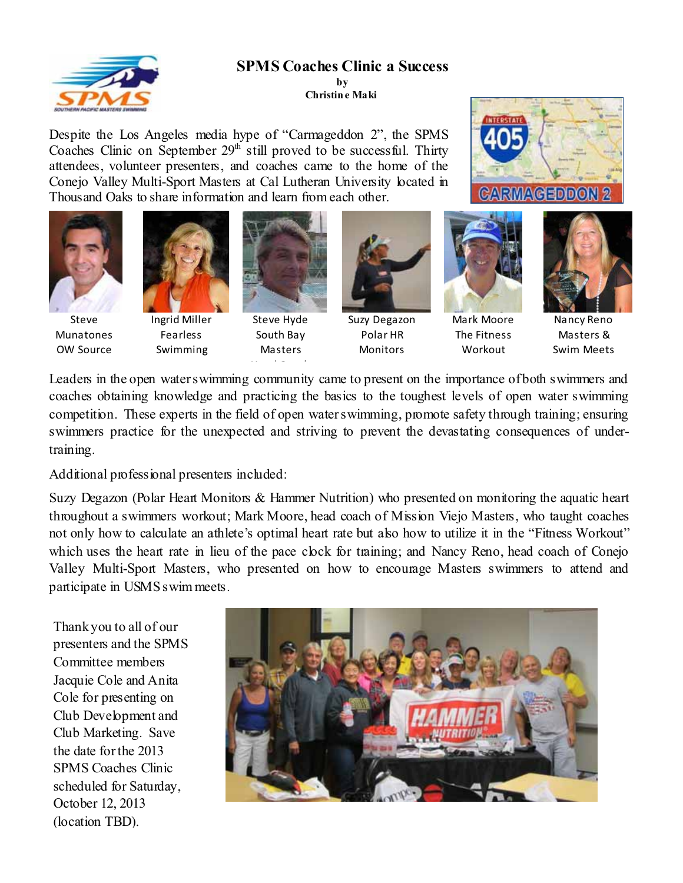

## **SPMS Coaches Clinic a Success**

**by Christin e Maki** 

Despite the Los Angeles media hype of "Carmageddon 2", the SPMS Coaches Clinic on September  $29<sup>th</sup>$  still proved to be successful. Thirty attendees, volunteer presenters, and coaches came to the home of the Conejo Valley Multi-Sport Masters at Cal Lutheran University located in Thousand Oaks to share information and learn from each other.



Steve Munatones OW Source



Ingrid Miller Fearless Swimming



Steve Hyde South Bay Masters

H dC handle



Polar HR **Monitors** 



Mark Moore The Fitness Workout



**CARMACEDDON** 

Nancy Reno Masters & Swim Meets

Leaders in the open water swimming community came to present on the importance of both swimmers and coaches obtaining knowledge and practicing the basics to the toughest levels of open water swimming competition. These experts in the field of open water swimming, promote safety through training; ensuring swimmers practice for the unexpected and striving to prevent the devastating consequences of undertraining.

Additional professional presenters included:

Suzy Degazon (Polar Heart Monitors & Hammer Nutrition) who presented on monitoring the aquatic heart throughout a swimmers workout; Mark Moore, head coach of Mission Viejo Masters, who taught coaches not only how to calculate an athlete's optimal heart rate but also how to utilize it in the "Fitness Workout" which uses the heart rate in lieu of the pace clock for training; and Nancy Reno, head coach of Conejo Valley Multi-Sport Masters, who presented on how to encourage Masters swimmers to attend and participate in USMS swim meets.

Thank you to all of our presenters and the SPMS Committee members Jacquie Cole and Anita Cole for presenting on Club Development and Club Marketing. Save the date for the 2013 SPMS Coaches Clinic scheduled for Saturday, October 12, 2013 (location TBD).

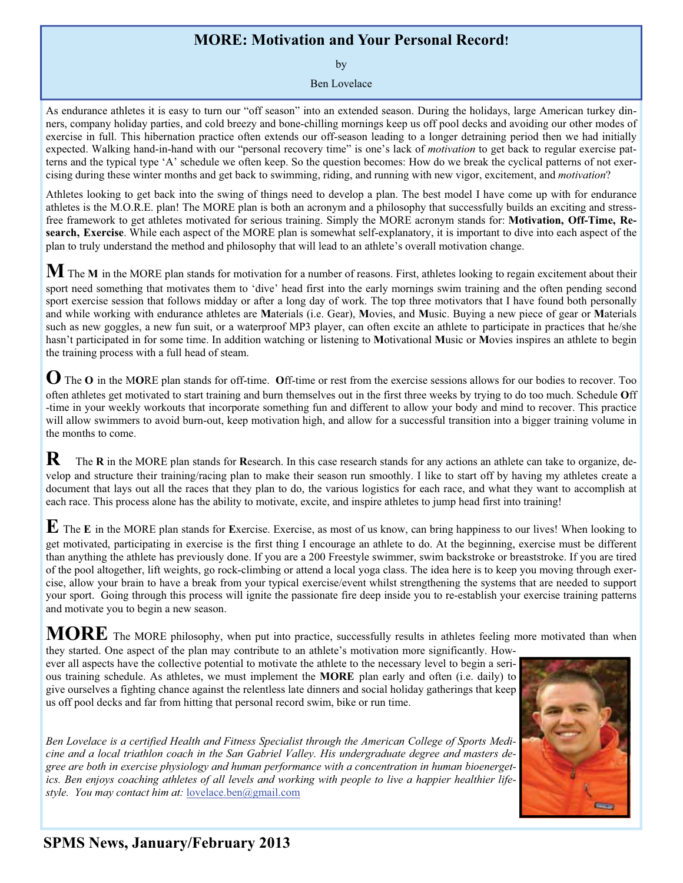## **MORE: Motivation and Your Personal Record!**

by

Ben Lovelace

As endurance athletes it is easy to turn our "off season" into an extended season. During the holidays, large American turkey dinners, company holiday parties, and cold breezy and bone-chilling mornings keep us off pool decks and avoiding our other modes of exercise in full. This hibernation practice often extends our off-season leading to a longer detraining period then we had initially expected. Walking hand-in-hand with our "personal recovery time" is one's lack of *motivation* to get back to regular exercise patterns and the typical type 'A' schedule we often keep. So the question becomes: How do we break the cyclical patterns of not exercising during these winter months and get back to swimming, riding, and running with new vigor, excitement, and *motivation*?

Athletes looking to get back into the swing of things need to develop a plan. The best model I have come up with for endurance athletes is the M.O.R.E. plan! The MORE plan is both an acronym and a philosophy that successfully builds an exciting and stressfree framework to get athletes motivated for serious training. Simply the MORE acronym stands for: **Motivation, Off-Time, Research, Exercise**. While each aspect of the MORE plan is somewhat self-explanatory, it is important to dive into each aspect of the plan to truly understand the method and philosophy that will lead to an athlete's overall motivation change.

**M** The **<sup>M</sup>** in the MORE plan stands for motivation for a number of reasons. First, athletes looking to regain excitement about their sport need something that motivates them to 'dive' head first into the early mornings swim training and the often pending second sport exercise session that follows midday or after a long day of work. The top three motivators that I have found both personally and while working with endurance athletes are **M**aterials (i.e. Gear), **M**ovies, and **M**usic. Buying a new piece of gear or **M**aterials such as new goggles, a new fun suit, or a waterproof MP3 player, can often excite an athlete to participate in practices that he/she hasn't participated in for some time. In addition watching or listening to **M**otivational **M**usic or **M**ovies inspires an athlete to begin the training process with a full head of steam.

**O** The **<sup>O</sup>** in the M**O**RE plan stands for off-time. **O**ff-time or rest from the exercise sessions allows for our bodies to recover. Too often athletes get motivated to start training and burn themselves out in the first three weeks by trying to do too much. Schedule **O**ff -time in your weekly workouts that incorporate something fun and different to allow your body and mind to recover. This practice will allow swimmers to avoid burn-out, keep motivation high, and allow for a successful transition into a bigger training volume in the months to come.

**R** The **R** in the MORE plan stands for **R**esearch. In this case research stands for any actions an athlete can take to organize, develop and structure their training/racing plan to make their season run smoothly. I like to start off by having my athletes create a document that lays out all the races that they plan to do, the various logistics for each race, and what they want to accomplish at each race. This process alone has the ability to motivate, excite, and inspire athletes to jump head first into training!

**E** The **<sup>E</sup>** in the MORE plan stands for **E**xercise. Exercise, as most of us know, can bring happiness to our lives! When looking to get motivated, participating in exercise is the first thing I encourage an athlete to do. At the beginning, exercise must be different than anything the athlete has previously done. If you are a 200 Freestyle swimmer, swim backstroke or breaststroke. If you are tired of the pool altogether, lift weights, go rock-climbing or attend a local yoga class. The idea here is to keep you moving through exercise, allow your brain to have a break from your typical exercise/event whilst strengthening the systems that are needed to support your sport. Going through this process will ignite the passionate fire deep inside you to re-establish your exercise training patterns and motivate you to begin a new season.

**MORE** The MORE philosophy, when put into practice, successfully results in athletes feeling more motivated than when

they started. One aspect of the plan may contribute to an athlete's motivation more significantly. However all aspects have the collective potential to motivate the athlete to the necessary level to begin a serious training schedule. As athletes, we must implement the **MORE** plan early and often (i.e. daily) to give ourselves a fighting chance against the relentless late dinners and social holiday gatherings that keep us off pool decks and far from hitting that personal record swim, bike or run time.



*Ben Lovelace is a certified Health and Fitness Specialist through the American College of Sports Medicine and a local triathlon coach in the San Gabriel Valley. His undergraduate degree and masters degree are both in exercise physiology and human performance with a concentration in human bioenergetics. Ben enjoys coaching athletes of all levels and working with people to live a happier healthier lifestyle. You may contact him at:* lovelace.ben@gmail.com

## **SPMS News, January/February 2013**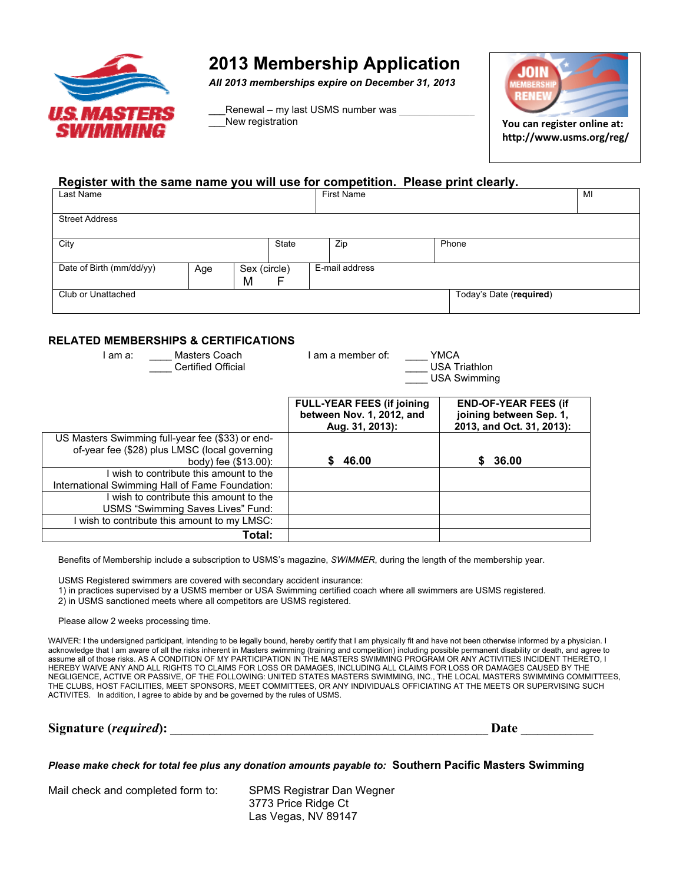

# **2013 Membership Application**

*All 2013 memberships expire on December 31, 2013* 

Renewal – my last USMS number was New registration



**You can register online at: http://www.usms.org/reg/**

### **Register with the same name you will use for competition. Please print clearly.**

| Last Name                |     |              |       | <b>First Name</b> |                |  | MI                      |  |
|--------------------------|-----|--------------|-------|-------------------|----------------|--|-------------------------|--|
|                          |     |              |       |                   |                |  |                         |  |
| <b>Street Address</b>    |     |              |       |                   |                |  |                         |  |
|                          |     |              |       |                   |                |  |                         |  |
| City                     |     |              | State |                   | Zip            |  | Phone                   |  |
|                          |     |              |       |                   |                |  |                         |  |
| Date of Birth (mm/dd/yy) | Age | Sex (circle) |       |                   | E-mail address |  |                         |  |
|                          |     | M            | F     |                   |                |  |                         |  |
| Club or Unattached       |     |              |       |                   |                |  | Today's Date (required) |  |
|                          |     |              |       |                   |                |  |                         |  |

### **RELATED MEMBERSHIPS & CERTIFICATIONS**

| Masters Coach<br>l am a:<br><b>Certified Official</b> | I am a member of:<br><b>YMCA</b><br><b>USA Triathlon</b><br><b>USA Swimming</b>   |                                                                                     |  |  |
|-------------------------------------------------------|-----------------------------------------------------------------------------------|-------------------------------------------------------------------------------------|--|--|
|                                                       | <b>FULL-YEAR FEES (if joining</b><br>between Nov. 1, 2012, and<br>Aug. 31, 2013): | <b>END-OF-YEAR FEES (if</b><br>joining between Sep. 1,<br>2013, and Oct. 31, 2013): |  |  |
| US Masters Swimming full-year fee (\$33) or end-      |                                                                                   |                                                                                     |  |  |
| of-year fee (\$28) plus LMSC (local governing         |                                                                                   |                                                                                     |  |  |
| body) fee (\$13.00):                                  | 46.00                                                                             | 36.00<br>S                                                                          |  |  |
| I wish to contribute this amount to the               |                                                                                   |                                                                                     |  |  |
| International Swimming Hall of Fame Foundation:       |                                                                                   |                                                                                     |  |  |
| I wish to contribute this amount to the               |                                                                                   |                                                                                     |  |  |
| USMS "Swimming Saves Lives" Fund:                     |                                                                                   |                                                                                     |  |  |
| wish to contribute this amount to my LMSC:            |                                                                                   |                                                                                     |  |  |
| Total:                                                |                                                                                   |                                                                                     |  |  |

Benefits of Membership include a subscription to USMS's magazine, *SWIMMER*, during the length of the membership year.

USMS Registered swimmers are covered with secondary accident insurance:

1) in practices supervised by a USMS member or USA Swimming certified coach where all swimmers are USMS registered.

2) in USMS sanctioned meets where all competitors are USMS registered.

Please allow 2 weeks processing time.

WAIVER: I the undersigned participant, intending to be legally bound, hereby certify that I am physically fit and have not been otherwise informed by a physician. I acknowledge that I am aware of all the risks inherent in Masters swimming (training and competition) including possible permanent disability or death, and agree to assume all of those risks. AS A CONDITION OF MY PARTICIPATION IN THE MASTERS SWIMMING PROGRAM OR ANY ACTIVITIES INCIDENT THERETO, I HEREBY WAIVE ANY AND ALL RIGHTS TO CLAIMS FOR LOSS OR DAMAGES, INCLUDING ALL CLAIMS FOR LOSS OR DAMAGES CAUSED BY THE NEGLIGENCE, ACTIVE OR PASSIVE, OF THE FOLLOWING: UNITED STATES MASTERS SWIMMING, INC., THE LOCAL MASTERS SWIMMING COMMITTEES, THE CLUBS, HOST FACILITIES, MEET SPONSORS, MEET COMMITTEES, OR ANY INDIVIDUALS OFFICIATING AT THE MEETS OR SUPERVISING SUCH ACTIVITES. In addition, I agree to abide by and be governed by the rules of USMS.

| Signature (required): | $.19+$ |
|-----------------------|--------|
|-----------------------|--------|

*Please make check for total fee plus any donation amounts payable to:* **Southern Pacific Masters Swimming** 

Mail check and completed form to: SPMS Registrar Dan Wegner

3773 Price Ridge Ct Las Vegas, NV 89147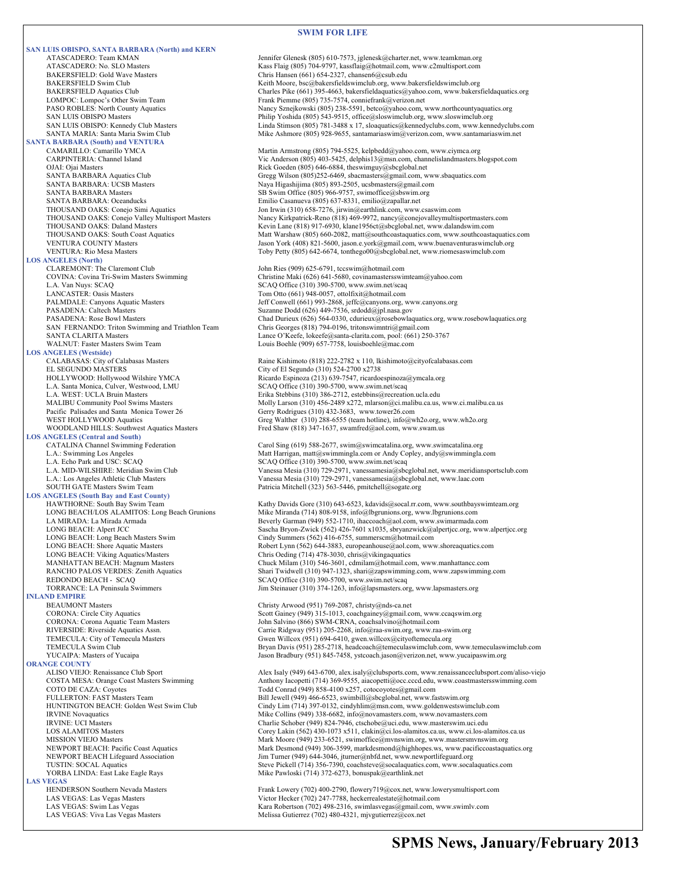#### **SWIM FOR LIFE**

**SAN LUIS OBISPO, SANTA BARBARA (North) and KERN SANTA BARBARA (South) and VENTURA LOS ANGELES (North)** CLAREMONT: The Claremont Club John Ries (909) 625-6791, tccswim@hotmail.com<br>COVINA: Covina Tri-Swim Masters Swimming Christine Maki (626) 641-5680, covinamastersswi L.A. Van Nuys: SCAQ SCAQ Office (310) 390-5700, www.swim.net/scaq LANCASTER: Oasis Masters Tom Otto (661) 948-0057, ottolfixit@hotmail.com<br>
PALMDALE: Canyons Aquatic Masters Jeff Conwell (661) 993-2868, jeffc@canyons.org, **LOS ANGELES (Westside)** Pacific Palisades and Santa Monica Tower 26 Gerry Rodrigues (310) 432-3683, www.tower26.com<br>WEST HOLLYWOOD Aquatics Greg Walther (310) 288-6555 (team hotline), info@w **LOS ANGELES (Central and South)**  L.A. Echo Park and USC: SCAQ <br>
L.A. MID-WILSHIRE: Meridian Swim Club <br>
Vanessa Mesia (310) 729-2971, vanessamesia@sbc **LOS ANGELES (South Bay and East County)**  REDONDO BEACH - SCAQ<br>
TORRANCE: LA Peninsula Swimmers<br>
TORRANCE: LA Peninsula Swimmers<br>
SCAQ Office (310) 374-1263, info@lapsmasters.org **INLAND EMPIRE ORANGE COUNTY<br>ALISO VIEJO:** Renaissance Club Sport **LAS VEGAS**<br> **HENDERSON** Southern Nevada Masters

ATASCADERO: Team KMAN<br>ATASCADERO: No. SI O Masters<br>Kass Flaig (805) 704-9797 kassflaig@hotmail.com www.c2multisport.com ATASCADERO: No. SLO Masters Christianus (Kass Flaig (805) 704-9797, kassflaig@hotmail.com, www.c2multisport.com<br>BAKERSFIELD: Gold Wave Masters Chris Hansen (661) 654-2327, chansen6@csub.edu BAKERSFIELD Swim Club<br>BAKERSFIELD Aquatics Club Charles Pike (661) 395-4663, bakersfieldsaquatics@yahoo.com, www.bakersf BAKERSFIELD Aquatics Club<br>
Charles Pike (661) 395-4663, bakersfieldaquatics@yahoo.com, www.bakersfieldaquatics.org<br>
Frank Piemme (805) 735-7574, conniefrank@yerizon.net LOMPOC: Lompoc's Other Swim Team Frank Piemme (805) 735-7574, conniefrank@verizon.net<br>PASO ROBLES: North County Aquatics Frank Piemme (805) 238-5591, betco@yahoo.com, PASO ROBLES: North County Aquatics Nancy Sznejkowski (805) 238-5591, betco@yahoo.com, www.northcountyaquatics.org<br>Philip Yoshida (805) 543-9515, office@sloswimclub.org, www.sloswimclub.org Philip Yoshida (805) 543-9515, office@sloswimclub.org, www.sloswimclub.org SAN LUIS OBISPO: Kennedy Club Masters Linda Stimson (805) 781-3488 x 17, sloaquatics@kennedyclubs.com, www.kennedyclubs.com SANTA MARIA: Santa Maria Swim Club Mike Ashmore (805) 928-9655, santamariaswim@verizon.com, www.santamariaswim.net CAMARILLO: Camarillo YMCA Martin Armstrong (805) 794-5525, kelpbedd@yahoo.com, www.ciymca.org CARPINTERIA: Channel Island Vic Anderson (805) 403-5425, delphis13@msn.com, channelislandmasters.blogspot.com<br>OJAI: Ojai Masters<br>Rick Goeden (805) 646-6884, theswimguy@sbcglobal.net OJAI: Ojai Masters **CALC ACCES ACCESS** Rick Goeden (805) 646-6884, theswimguy@sbcglobal.net<br>
Gregg Wilson (805)252-6469, sbacmasters@gmail.com, w SANTA BARBARA Aquatics Club Gregg Wilson (805)252-6469, sbacmasters@gmail.com, www.sbaquatics.com<br>SANTA BARBARA: UCSB Masters Santa Club (805) 893-2505, ucsbmasters@gmail.com SANTA BARBARA: UCSB Masters Naya Higashijima (805) 893-2505, ucsbmasters@gmail.com<br>SANTA BARBARA Masters SB Swim Office (805) 966-9757, swimoffice@sbswim.org SANTA BARBARA Masters<br>
SB Swim Office (805) 966-9757, swimoffice@sbswim.org<br>
SANTA BARBARA: Oceanducks<br>
SMNTA BARBARA: Oceanducks<br>
SMNTA BARBARA: Oceanducks SANTA BARBARA: Oceanducks Emilio Casanueva (805) 637-8331, emilio@zapallar.net<br>
THOUSAND OAKS: Conejo Simi Aquatics Jon Irwin (310) 658-7276, jirwin@earthlink.com, www. THOUSAND OAKS: Conejo Simi Aquatics **Fig. 1988** Jon Irwin (310) 658-7276, jirwin@earthlink.com, www.esaswim.com<br>THOUSAND OAKS: Conejo Valley Multisport Masters Nancy Kirkpatrick-Reno (818) 469-9972, nancy@conejovalleymulti THOUSAND OAKS: Conejo Valley Multisport Masters Nancy Kirkpatrick-Reno (818) 469-9972, nancy@conejovalleymultisportmasters.com<br>THOUSAND OAKS: Daland Masters Kevin Lane (818) 917-6930, klane1956ct@sbcglobal.net, www.dalands THOUSAND OAKS: Daland Masters Kevin Lane (818) 917-6930, klane1956ct@sbcglobal.net, www.dalandswim.com<br>THOUSAND OAKS: South Coast Aquatics Matt Warshaw (805) 660-2082, matt@southcoastaquatics.com, www.southcoasta THOUSAND OAKS: South Coast Aquatics Matt Warshaw (805) 660-2082, matt@southcoastaquatics.com, www.southcoastaquatics.com<br>VENTURA COUNTY Masters Maters Material Material Material Material Material Material Material Material Jason York (408) 821-5600, jason.e.york@gmail.com, www.buenaventuraswimclub.org VENTURA: Rio Mesa Masters Toby Petty (805) 642-6674, tonthego00@sbcglobal.net, www.riomesaswimclub.com COVINA: Covina Tri-Swim Masters Swimming Christine Maki (626) 641-5680, covinamastersswimteam@yahoo.com PALMDALE: Canyons Aquatic Masters Surface and Surface of the State of Gonwell (661) 993-2868, jeffc@canyons.org, www.canyons.org<br>PASADENA: Caltech Masters Surface and Surface of Suzanne Dodd (626) 449-7536, srdodd@jpl.nasa PASADENA: Rose Bowl Masters Chad Durieux (626) 564-0330, cdurieux@rosebowlaquatics.org, www.rosebowlaquatics.org<br>Chris Georges (818) 794-0196, tritonswimntri@gmail.com SAN FERNANDO: Triton Swimming and Triathlon Team Chris Georges (818) 794-0196, tritonswimntri@gmail.com<br>SANTA CLARITA Masters Chris Georges Chris Georges (818) 756 (Seefe Discrete Chris Comp. nool: (661) 256 SANTA CLARITA Masters<br>
WALNUT: Faster Masters Swim Team<br>
Louis Boehle (909) 657-7758, louisboehle@mac.com<br>
Louis Boehle (909) 657-7758, louisboehle@mac.com Louis Boehle (909) 657-7758, louisboehle@mac.com Raine Kishimoto (818) 222-2782 x 110, lkishimoto@cityofcalabasas.com EL SEGUNDO MASTERS City of El Segundo (310) 524-2700 x2738 HOLLYWOOD: Hollywood Wilshire YMCA Ricardo Espinoza (213) 639-7547, ricardoespinoza@ymcala.org L.A. Santa Monica, Culver, Westwood, LMU SCAQ Office (310) 390-5700, www.swim.net/scaq<br>L.A. WEST: UCLA Bruin Masters Erika Stebbins (310) 386-2712, estebbins@recreation.ucla.edu MALIBU Community Pool Swims Masters Molly Larson (310) 456-2489 x272, mlarson@ci.malibu.ca.us, www.ci.malibu.ca.us<br>Pacific Palisades and Santa Monica Tower 26 Gerry Rodrigues (310) 432-3683, www.tower26.com WEST HOLLYWOOD Aquatics (State of Greg Walther (310) 288-6555 (team hotline), info@wh2o.org, www.wh2o.org<br>WOODLAND HILLS: Southwest Aquatics Masters Fred Shaw (818) 347-1637, swamfred@aol.com, www.swam.us Fred Shaw (818) 347-1637, swamfred@aol.com, www.swam.us CATALINA Channel Swimming Federation Carol Sing (619) 588-2677, swim@swimcatalina.org, www.swimcatalina.org<br>
L.A.: Swimming Los Angeles<br>
Matt Harrigan, matt@swimmingla.com or Andy Copley, andy@swimmingla.org L.A.: Swimming Los Angeles (SCAQ) and Matt Harrigan, matt Alexander and Matt Harrigan, matt and Society and Matt Harrigan, matt and Copley, andy as wimmingla.com CLA. Echo Park and USC: SCAQ (SCAQ) SCAQ Office (310) 390-57 L.A. MID-WILSHIRE: Meridian Swim Club Vanessa Mesia (310) 729-2971, vanessamesia@sbcglobal.net, www.meridiansportsclub.com Vanessa Mesia (310) 729-2971, vanessamesia@sbcglobal.net, www.laac.com SOUTH GATE Masters Swim Team Patricia Mitchell (323) 563-5446, pmitchell@sogate.org HAWTHORNE: South Bay Swim Team (Figure 2011) Kathy Davids Gore (310) 643-6523, kdavids@socal.rr.com, www.southbayswimteam.org<br>
LONG BEACH/LOS ALAMITOS: Long Beach Grunions (Figure 2011) Mike Miranda (714) 808-9158, info@lb LONG BEACH/LOS ALAMITOS: Long Beach Grunions Mike Miranda (714) 808-9158, info@lbgrunions.org, www.lbgrunions.com LA MIRADA: La Mirada Armada Beverly Garman (949) 552-1710, ihaccoach@aol.com, www.swimarmada.com<br>LONG BEACH: Alpert JCC Sascha Bryon-Zwick (562) 426-7601 x1035, sbryanzwick@alpertjcc.org, www LONG BEACH: Alpert JCC Sascha Bryon-Zwick (562) 426-7601 x1035, sbryanzwick@alpertjcc.org, www.alpertjcc.org<br>Cindy Summers (562) 416-6755, summerscm@hotmail.com LONG BEACH: Long Beach Masters Swim Cindy Summers (562) 416-6755, summerscm@hotmail.com LONG BEACH: Shore Aquatic Masters **Robert Lynn (562) 644-3883**, europeanhouse@aol.com, www.shoreaquatics.com<br>
LONG BEACH: Viking Aquatics/Masters **Robert Lynn (562) 644-3883**, europeanhouse@aol.com, www.shoreaquatics.com<br> LONG BEACH: Viking Aquatics/Masters Chris Oeding (714) 478-3030, chris@vikingaquatics MANHATTAN BEACH: Magnum Masters Chuck Milam (310) 546-3601, cdmilam@hotmail.com, www.manhattancc.com RANCHO PALOS VERDES: Zenith Aquatics Shari Twidwell (310) 947-1323, shari@zapswimming.com, www.zapswimming.com<br>REDONDO BEACH - SCAQ SCAQ Office (310) 390-5700, www.swim.net/scaq Jim Steinauer (310) 374-1263, info@lapsmasters.org, www.lapsmasters.org Christy Arwood (951) 769-2087, christy@nds-ca.net

CORONA: Circle City Aquatics Scott Gainey (949) 315-1013, coachgainey@gmail.com, www.ccaqswim.org<br>CORONA: Corona Aquatic Team Masters Scott Gainey (866) SWM-CRNA, coachsalvino@hotmail.com CORONA: Corona Aquatic Team Masters John Salvino (866) SWM-CRNA, coachsalvino@hotmail.com<br>Prime RIVERSIDE: Riverside Aquatics Assn. Carrie Ridgway (951) 205-2268, info@raa-swim.org, www.raa RIVERSIDE: Riverside Aquatics Assn. Carrie Ridgway (951) 205-2268, info@raa-swim.org, www.raa-swim.org<br>TEMECULA: City of Temecula Masters Gwen Willcox (951) 694-6410, gwen.willcox@cityoftemecula.org TEMECULA: City of Temecula Masters Gwen Willcox (951) 694-6410, gwen.willcox@cityoftemecula.org<br>TEMECULA Swim Club Gwen Club Bryan Davis (951) 285-2718, headcoach@temeculaswimclub.com, TEMECULA Swim Club Company Club Bryan Davis (951) 285-2718, headcoach@temeculaswimclub.com, www.temeculaswimclub.com<br>TucAIPA: Masters of Yucaipa Jason Bradbury (951) 845-7458, ystcoach.jason@verizon.net, www.yucaipaswim.org

ALISO VIEJO: Renaissance Club Sport Alex Isaly (949) 643-6700, alex.isaly@clubsports.com, www.renaissanceclubsport.com/aliso-viejo<br>COSTA MESA: Orange Coast Masters Swimming Anthony Iacopetti (714) 369-9555, aiacopetti@occ. COSTA MESA: Orange Coast Masters Swimming Anthony Iacopetti (714) 369-9555, aiacopetti@occ.cccd.edu, www.coastmastersswimming.com<br>COTO DE CAZA: Coyotes Coast Masters Swimming Com COTO DE CAZA: Coyotes Conrad (949) 858-4100 x257, cotocoyotes@gmail.com<br>
FULLERTON: FAST Masters Team (1949) 866-6523, swimbill@sbcglobal.net, www.fa FULLERTON: FAST Masters Team Bill Jewell (949) 466-6523, swimbill@sbcglobal.net, www.fastswim.org<br>HUNTINGTON BEACH: Golden West Swim Club Cindy Lim (714) 397-0132, cindyhlim@msn.com, www.goldenwestswin HUNTINGTON BEACH: Golden West Swim Club<br>
RVINE Novaquatics<br>
RVINE UCI Masters<br>
RVINE: UCI Masters<br>
Charlie Schober (949) 328-6682, info@novamasters.com, www.novamasters.com<br>
Charlie Schober (949) 824-7946. ctschobe@uci.edu Mike Collins (949) 338-6682, info@novamasters.com, www.novamasters.com Charlie Schober (949) 824-7946, ctschobe@uci.edu, www.masterswim.uci.edu LOS ALAMITOS Masters **Corey Lakin (562) 430-1073 x511**, clakin@ci.los-alamitos.ca.us, www.ci.los-alamitos.ca.us<br>MISSION VIEJO Masters MISSION VIEJO Masters Mark Moore (949) 233-6521, swimoffice@mvnswim.org, www.mastersmvns MISSION VIEJO Masters<br>Mark Moore (949) 233-6521, swimoffice@mvnswim.org, www.mastersmvnswim.org Narking Mark Desmond (949) 306-3599, markdesmond@highhopes.ws, www.pacificcoastaquatics.org<br>Mark Desmond (949) 306-3599, markd NEWPORT BEACH Lifeguard Association Jim Turner (949) 644-3046, jturner@nbfd.net, www.newportlifeguard.org<br>TUSTIN: SOCAL Aquatics TUSTIN: SOCAL Aquatics (714) 356-7390, coachsteve@socalaquatics.com, www.socalaquatics.com<br>TORBA LINDA: East Lake Eagle Rays Mike Pawloski (714) 372-6273, bonuspak@earthlink.net Mike Pawloski (714) 372-6273, bonuspak@earthlink.net

HENDERSON Southern Nevada Masters Frank Lowery (702) 400-2790, flowery 719@cox.net, www.lowerysmultisport.com<br>
LAS VEGAS: Las Vegas Masters Victor Hecker (702) 247-7788, heckerrealestate@hotmail.com LAS VEGAS: Las Vegas Masters Victor Hecker (702) 247-7788, heckerrealestate@hotmail.com<br>
LAS VEGAS: Swim Las Vegas Kara Robertson (702) 247-7788, heckerrealestate@hotmail.com<br>
Kara Robertson (702) 249-2316, swimlasvegas@gm LAS VEGAS: Swim Las Vegas Kara Robertson (702) 498-2316, swimlasvegas@gmail.com, www.swimlv.com<br>
LAS VEGAS: Viva Las Vegas Masters Melissa Gutierrez (702) 498-4321, mjvgutierrez@cox.net Melissa Gutierrez (702) 480-4321, mjvgutierrez@cox.net